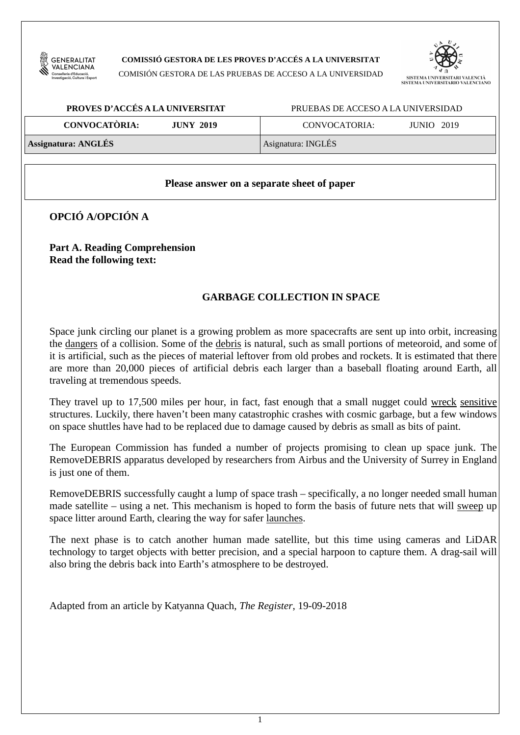

### **COMISSIÓ GESTORA DE LES PROVES D'ACCÉS A LA UNIVERSITAT**

COMISIÓN GESTORA DE LAS PRUEBAS DE ACCESO A LA UNIVERSIDAD



| PROVES D'ACCÉS A LA UNIVERSITAT          | PRUEBAS DE ACCESO A LA UNIVERSIDAD |  |  |
|------------------------------------------|------------------------------------|--|--|
| <b>CONVOCATÒRIA:</b><br><b>JUNY 2019</b> | <b>JUNIO</b> 2019<br>CONVOCATORIA: |  |  |
| <b>Assignatura: ANGLÉS</b>               | Asignatura: INGLÉS                 |  |  |

### **Please answer on a separate sheet of paper**

**OPCIÓ A/OPCIÓN A** 

**Part A. Reading Comprehension Read the following text:** 

# **GARBAGE COLLECTION IN SPACE**

Space junk circling our planet is a growing problem as more spacecrafts are sent up into orbit, increasing the dangers of a collision. Some of the debris is natural, such as small portions of meteoroid, and some of it is artificial, such as the pieces of material leftover from old probes and rockets. It is estimated that there are more than 20,000 pieces of artificial debris each larger than a baseball floating around Earth, all traveling at tremendous speeds.

They travel up to 17,500 miles per hour, in fact, fast enough that a small nugget could wreck sensitive structures. Luckily, there haven't been many catastrophic crashes with cosmic garbage, but a few windows on space shuttles have had to be replaced due to damage caused by debris as small as bits of paint.

The European Commission has funded a number of projects promising to clean up space junk. The RemoveDEBRIS apparatus developed by researchers from Airbus and the University of Surrey in England is just one of them.

RemoveDEBRIS successfully caught a lump of space trash – specifically, a no longer needed small human made satellite – using a net. This mechanism is hoped to form the basis of future nets that will sweep up space litter around Earth, clearing the way for safer launches.

The next phase is to catch another human made satellite, but this time using cameras and LiDAR technology to target objects with better precision, and a special harpoon to capture them. A drag-sail will also bring the debris back into Earth's atmosphere to be destroyed.

Adapted from an article by Katyanna Quach, *The Register*, 19-09-2018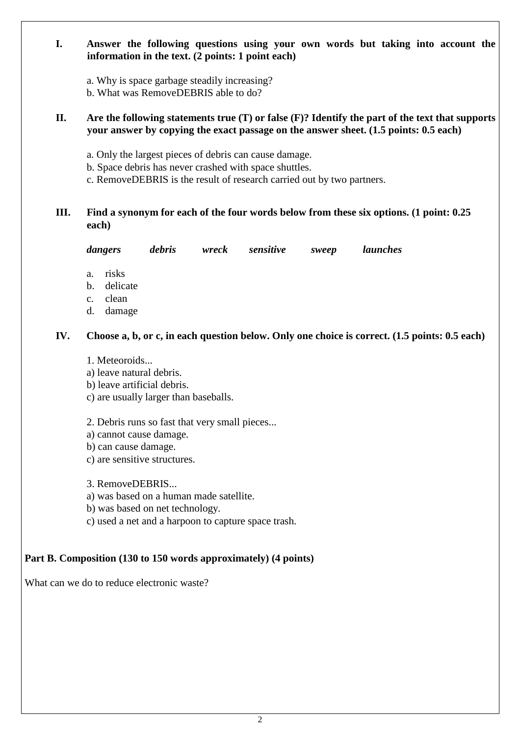## **I. Answer the following questions using your own words but taking into account the information in the text. (2 points: 1 point each)**

a. Why is space garbage steadily increasing?

b. What was RemoveDEBRIS able to do?

### **II. Are the following statements true (T) or false (F)? Identify the part of the text that supports your answer by copying the exact passage on the answer sheet. (1.5 points: 0.5 each)**

- a. Only the largest pieces of debris can cause damage.
- b. Space debris has never crashed with space shuttles.
- c. RemoveDEBRIS is the result of research carried out by two partners.

# **III. Find a synonym for each of the four words below from these six options. (1 point: 0.25 each)**

*dangers debris wreck sensitive sweep launches* 

- a. risks
- b. delicate
- c. clean
- d. damage

## **IV. Choose a, b, or c, in each question below. Only one choice is correct. (1.5 points: 0.5 each)**

- 1. Meteoroids...
- a) leave natural debris.
- b) leave artificial debris.
- c) are usually larger than baseballs.
- 2. Debris runs so fast that very small pieces...
- a) cannot cause damage.
- b) can cause damage.
- c) are sensitive structures.
- 3. RemoveDEBRIS...
- a) was based on a human made satellite.
- b) was based on net technology.
- c) used a net and a harpoon to capture space trash.

## **Part B. Composition (130 to 150 words approximately) (4 points)**

What can we do to reduce electronic waste?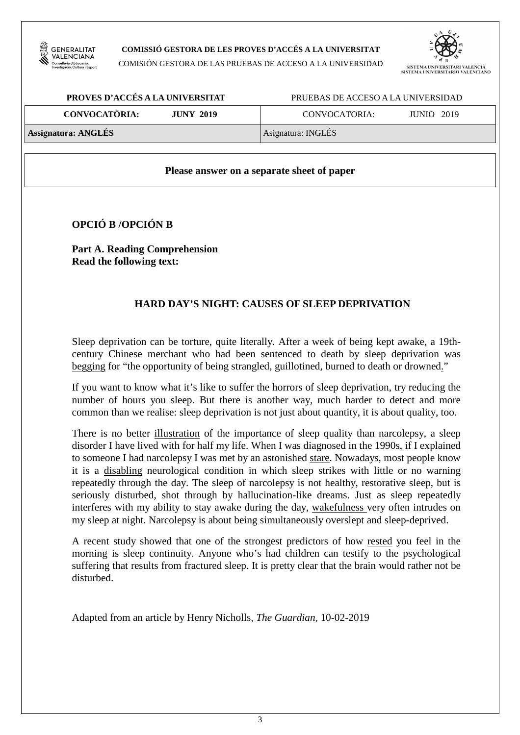

#### **COMISSIÓ GESTORA DE LES PROVES D'ACCÉS A LA UNIVERSITAT**

COMISIÓN GESTORA DE LAS PRUEBAS DE ACCESO A LA UNIVERSIDAD



| PROVES D'ACCÉS A LA UNIVERSITAT          | PRUEBAS DE ACCESO A LA UNIVERSIDAD |  |  |
|------------------------------------------|------------------------------------|--|--|
| <b>CONVOCATÒRIA:</b><br><b>JUNY 2019</b> | <b>JUNIO</b> 2019<br>CONVOCATORIA: |  |  |
| <b>Assignatura: ANGLÉS</b>               | Asignatura: INGLÉS                 |  |  |

### **Please answer on a separate sheet of paper**

**OPCIÓ B /OPCIÓN B** 

**Part A. Reading Comprehension Read the following text:** 

## **HARD DAY'S NIGHT: CAUSES OF SLEEP DEPRIVATION**

Sleep deprivation can be torture, quite literally. After a week of being kept awake, a 19thcentury Chinese merchant who had been sentenced to death by sleep deprivation was begging for "the opportunity of being strangled, guillotined, burned to death or drowned."

If you want to know what it's like to suffer the horrors of sleep deprivation, try reducing the number of hours you sleep. But there is another way, much harder to detect and more common than we realise: sleep deprivation is not just about quantity, it is about quality, too.

There is no better illustration of the importance of sleep quality than narcolepsy, a sleep disorder I have lived with for half my life. When I was diagnosed in the 1990s, if I explained to someone I had narcolepsy I was met by an astonished stare. Nowadays, most people know it is a disabling neurological condition in which sleep strikes with little or no warning repeatedly through the day. The sleep of narcolepsy is not healthy, restorative sleep, but is seriously disturbed, shot through by hallucination-like dreams. Just as sleep repeatedly interferes with my ability to stay awake during the day, wakefulness very often intrudes on my sleep at night. Narcolepsy is about being simultaneously overslept and sleep-deprived.

A recent study showed that one of the strongest predictors of how rested you feel in the morning is sleep continuity. Anyone who's had children can testify to the psychological suffering that results from fractured sleep. It is pretty clear that the brain would rather not be disturbed.

Adapted from an article by Henry Nicholls, *The Guardian*, 10-02-2019